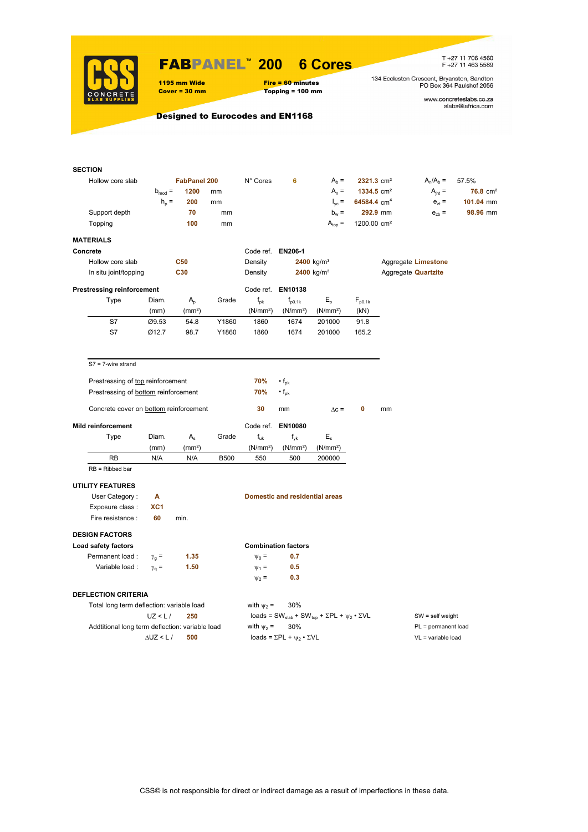

# FABPANEL**™ 200 6 Cores**

1195 mm Wide Fire = 60 minutes<br>
Cover = 30 mm Topping = 100 mm

 $Topping = 100 mm$ 

T +27 11 706 4560<br>F +27 11 463 5589

134 Eccleston Crescent, Bryanston, Sandton<br>PO Box 364 Paulshof 2056

www.concreteslabs.co.za<br>slabs@iafrica.com

## Designed to Eurocodes and EN1168

| <b>SECTION</b>                                  |                     |                    |             |                      |                                                |                                                                                         |                          |                    |                            |                     |  |
|-------------------------------------------------|---------------------|--------------------|-------------|----------------------|------------------------------------------------|-----------------------------------------------------------------------------------------|--------------------------|--------------------|----------------------------|---------------------|--|
| Hollow core slab                                | <b>FabPanel 200</b> |                    |             | N° Cores             | 6                                              | $Ab$ =                                                                                  | $2321.3$ cm <sup>2</sup> |                    | $A_n/A_b =$                | 57.5%               |  |
|                                                 | $b_{mod}$ =         | 1200               | mm          |                      |                                                | $A_n =$                                                                                 | 1334.5 cm <sup>2</sup>   |                    | $A_{int} =$                | $76.8 \text{ cm}^2$ |  |
|                                                 | $h_p =$             | 200                | mm          |                      |                                                | $I_{\text{yc}} =$                                                                       | 64584.4 cm <sup>4</sup>  |                    | $e_{zt}$ =                 | 101.04 mm           |  |
| Support depth                                   |                     | 70                 | mm          |                      |                                                | $b_w =$                                                                                 |                          | 292.9 mm           | $e_{zb}$ =                 | 98.96 mm            |  |
| Topping                                         |                     | 100                | mm          |                      |                                                | $A_{top} =$                                                                             | 1200.00 cm <sup>2</sup>  |                    |                            |                     |  |
| <b>MATERIALS</b>                                |                     |                    |             |                      |                                                |                                                                                         |                          |                    |                            |                     |  |
| Concrete                                        |                     |                    |             | Code ref. EN206-1    |                                                |                                                                                         |                          |                    |                            |                     |  |
| Hollow core slab                                |                     | <b>C50</b>         |             | Density              |                                                | $2400$ kg/m <sup>3</sup>                                                                |                          |                    | Aggregate Limestone        |                     |  |
| In situ joint/topping                           |                     | C30                |             | Density              | 2400 kg/m <sup>3</sup>                         |                                                                                         |                          |                    | Aggregate <b>Quartzite</b> |                     |  |
| <b>Prestressing reinforcement</b>               |                     |                    |             |                      | Code ref. EN10138                              |                                                                                         |                          |                    |                            |                     |  |
| Type                                            | Diam.               | $A_{p}$            | Grade       | $f_{\rm pk}$         | $f_{p0.1k}$                                    | $E_{\rm p}$                                                                             | $F_{p0.1k}$              |                    |                            |                     |  |
|                                                 | (mm)                | (mm <sup>2</sup> ) |             | (N/mm <sup>2</sup> ) | (N/mm <sup>2</sup> )                           | (N/mm <sup>2</sup> )                                                                    | (kN)                     |                    |                            |                     |  |
| S7                                              | Ø9.53               | 54.8               | Y1860       | 1860                 | 1674                                           | 201000                                                                                  | 91.8                     |                    |                            |                     |  |
| S7                                              | Ø12.7               | 98.7               | Y1860       | 1860                 | 1674                                           | 201000                                                                                  | 165.2                    |                    |                            |                     |  |
| $S7 = 7$ -wire strand                           |                     |                    |             |                      |                                                |                                                                                         |                          |                    |                            |                     |  |
| Prestressing of top reinforcement               |                     |                    |             | 70%                  | $\cdot f_{\sf pk}$                             |                                                                                         |                          |                    |                            |                     |  |
|                                                 |                     |                    |             | 70%                  |                                                |                                                                                         |                          |                    |                            |                     |  |
| Prestressing of bottom reinforcement            |                     |                    |             |                      | $\cdot$ f <sub>pk</sub>                        |                                                                                         |                          |                    |                            |                     |  |
| Concrete cover on bottom reinforcement          |                     |                    |             | 30                   | mm                                             | $\Delta c =$                                                                            | 0                        | mm                 |                            |                     |  |
| <b>Mild reinforcement</b>                       |                     |                    |             | Code ref.            | EN10080                                        |                                                                                         |                          |                    |                            |                     |  |
| Type                                            | Diam.               | $A_{s}$            | Grade       | $f_{uk}$             | $f_{\nu k}$                                    | $E_{s}$                                                                                 |                          |                    |                            |                     |  |
|                                                 | (mm)                | (mm <sup>2</sup> ) |             | (N/mm <sup>2</sup> ) | (N/mm <sup>2</sup> )                           | (N/mm <sup>2</sup> )                                                                    |                          |                    |                            |                     |  |
| RB                                              | N/A                 | N/A                | <b>B500</b> | 550                  | 500                                            | 200000                                                                                  |                          |                    |                            |                     |  |
| $RB = Ribbed bar$                               |                     |                    |             |                      |                                                |                                                                                         |                          |                    |                            |                     |  |
| <b>UTILITY FEATURES</b>                         |                     |                    |             |                      |                                                |                                                                                         |                          |                    |                            |                     |  |
| User Category:                                  | Α                   |                    |             |                      | <b>Domestic and residential areas</b>          |                                                                                         |                          |                    |                            |                     |  |
| Exposure class:                                 | XC <sub>1</sub>     |                    |             |                      |                                                |                                                                                         |                          |                    |                            |                     |  |
| Fire resistance :                               | 60                  | min.               |             |                      |                                                |                                                                                         |                          |                    |                            |                     |  |
| <b>DESIGN FACTORS</b>                           |                     |                    |             |                      | <b>Combination factors</b>                     |                                                                                         |                          |                    |                            |                     |  |
| Load safety factors                             |                     |                    |             |                      | 0.7                                            |                                                                                         |                          |                    |                            |                     |  |
| Permanent load:                                 | $\gamma_{\rm g} =$  | 1.35               |             | $\Psi_0 =$           |                                                |                                                                                         |                          |                    |                            |                     |  |
| Variable load :                                 | $\gamma_{\rm q}$ =  | 1.50               |             | $\Psi_1 =$           | 0.5                                            |                                                                                         |                          |                    |                            |                     |  |
|                                                 |                     |                    |             | $\Psi_2$ =           | 0.3                                            |                                                                                         |                          |                    |                            |                     |  |
| <b>DEFLECTION CRITERIA</b>                      |                     |                    |             |                      |                                                |                                                                                         |                          |                    |                            |                     |  |
| Total long term deflection: variable load       |                     |                    |             | with $\psi_2$ =      | 30%                                            |                                                                                         |                          |                    |                            |                     |  |
|                                                 | UZ < L/             | 250                |             |                      |                                                | loads = SW <sub>slab</sub> + SW <sub>top</sub> + $\Sigma$ PL + $\psi_2 \cdot \Sigma$ VL |                          | $SW = self weight$ |                            |                     |  |
| Addtitional long term deflection: variable load |                     |                    |             | with $\psi_2$ =      | 30%                                            |                                                                                         |                          |                    | PL = permanent load        |                     |  |
|                                                 | $\Delta$ UZ < L /   | 500                |             |                      | loads = $\Sigma$ PL + $\psi_2 \cdot \Sigma$ VL |                                                                                         |                          |                    | $VL = variable load$       |                     |  |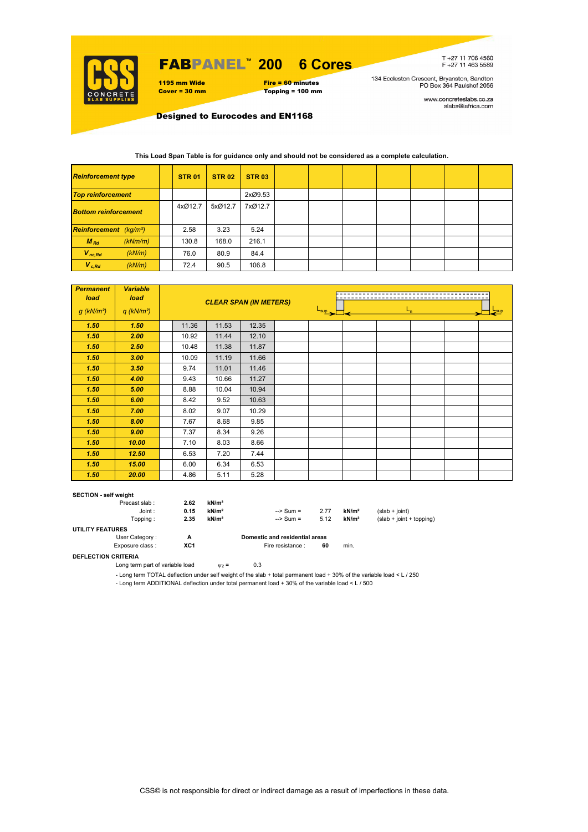

#### FABPANEL**™ 6 Cores**

1195 mm Wide Fire = 60 minutes<br>
Cover = 30 mm Topping = 100 mm  $Topping = 100$  mm T+27 11 706 4560<br>F+27 11 463 5589

134 Eccleston Crescent, Bryanston, Sandton<br>PO Box 364 Paulshof 2056

www.concreteslabs.co.za<br>slabs@iafrica.com

Designed to Eurocodes and EN1168

| <b>Reinforcement type</b>          |         | <b>STR 01</b> | <b>STR 02</b> | <b>STR 03</b> |  |  |  |  |
|------------------------------------|---------|---------------|---------------|---------------|--|--|--|--|
| <b>Top reinforcement</b>           |         |               |               | 2xØ9.53       |  |  |  |  |
| <b>Bottom reinforcement</b>        |         | 4xØ12.7       | 5xØ12.7       | 7xØ12.7       |  |  |  |  |
| Reinforcement (kg/m <sup>2</sup> ) |         | 2.58          | 3.23          | 5.24          |  |  |  |  |
| $M_{Rd}$                           | (kNm/m) | 130.8         | 168.0         | 216.1         |  |  |  |  |
| $V_{nc,Rd}$                        | (kN/m)  | 76.0          | 80.9          | 84.4          |  |  |  |  |
| $V_{c, Rd}$                        | (kN/m)  | 72.4          | 90.5          | 106.8         |  |  |  |  |

## **This Load Span Table is for guidance only and should not be considered as a complete calculation.**

| <b>Permanent</b><br>load<br>$g$ (kN/m <sup>2</sup> ) | <b>Variable</b><br>load<br>$q$ (kN/m <sup>2</sup> ) |       | <b>CLEAR SPAN (IN METERS)</b> |       | $L_{n}$<br>$L_{\text{sup}}$ |  |  |  |  |  |  |
|------------------------------------------------------|-----------------------------------------------------|-------|-------------------------------|-------|-----------------------------|--|--|--|--|--|--|
| 1.50                                                 | 1.50                                                | 11.36 | 11.53                         | 12.35 |                             |  |  |  |  |  |  |
| 1.50                                                 | 2.00                                                | 10.92 | 11.44                         | 12.10 |                             |  |  |  |  |  |  |
| 1.50                                                 | 2.50                                                | 10.48 | 11.38                         | 11.87 |                             |  |  |  |  |  |  |
| 1.50                                                 | 3.00                                                | 10.09 | 11.19                         | 11.66 |                             |  |  |  |  |  |  |
| 1.50                                                 | 3.50                                                | 9.74  | 11.01                         | 11.46 |                             |  |  |  |  |  |  |
| 1.50                                                 | 4.00                                                | 9.43  | 10.66                         | 11.27 |                             |  |  |  |  |  |  |
| 1.50                                                 | 5.00                                                | 8.88  | 10.04                         | 10.94 |                             |  |  |  |  |  |  |
| 1.50                                                 | 6.00                                                | 8.42  | 9.52                          | 10.63 |                             |  |  |  |  |  |  |
| 1.50                                                 | 7.00                                                | 8.02  | 9.07                          | 10.29 |                             |  |  |  |  |  |  |
| 1.50                                                 | 8.00                                                | 7.67  | 8.68                          | 9.85  |                             |  |  |  |  |  |  |
| 1.50                                                 | 9.00                                                | 7.37  | 8.34                          | 9.26  |                             |  |  |  |  |  |  |
| 1.50                                                 | 10.00                                               | 7.10  | 8.03                          | 8.66  |                             |  |  |  |  |  |  |
| 1.50                                                 | 12.50                                               | 6.53  | 7.20                          | 7.44  |                             |  |  |  |  |  |  |
| 1.50                                                 | 15.00                                               | 6.00  | 6.34                          | 6.53  |                             |  |  |  |  |  |  |
| 1.50                                                 | 20.00                                               | 4.86  | 5.11                          | 5.28  |                             |  |  |  |  |  |  |

#### **SECTION - self weight**

|                         | Precast slab:   | 2.62 | kN/m <sup>2</sup> |                                |      |                   |                            |
|-------------------------|-----------------|------|-------------------|--------------------------------|------|-------------------|----------------------------|
|                         | Joint:          | 0.15 | kN/m <sup>2</sup> | $\Rightarrow$ Sum =            | 2.77 | kN/m <sup>2</sup> | $(slab + ioint)$           |
|                         | Topping:        | 2.35 | kN/m <sup>2</sup> | $\Rightarrow$ Sum =            | 5.12 | kN/m <sup>2</sup> | $(slab + joint + topping)$ |
| <b>UTILITY FEATURES</b> |                 |      |                   |                                |      |                   |                            |
|                         | User Category:  | А    |                   | Domestic and residential areas |      |                   |                            |
|                         | Exposure class: | XC1  |                   | Fire resistance :              | 60   | min.              |                            |

## **DEFLECTION CRITERIA**

Long term part of variable load  $v_2 = 0.3$ 

- Long term TOTAL deflection under self weight of the slab + total permanent load + 30% of the variable load < L / 250

- Long term ADDITIONAL deflection under total permanent load + 30% of the variable load < L / 500